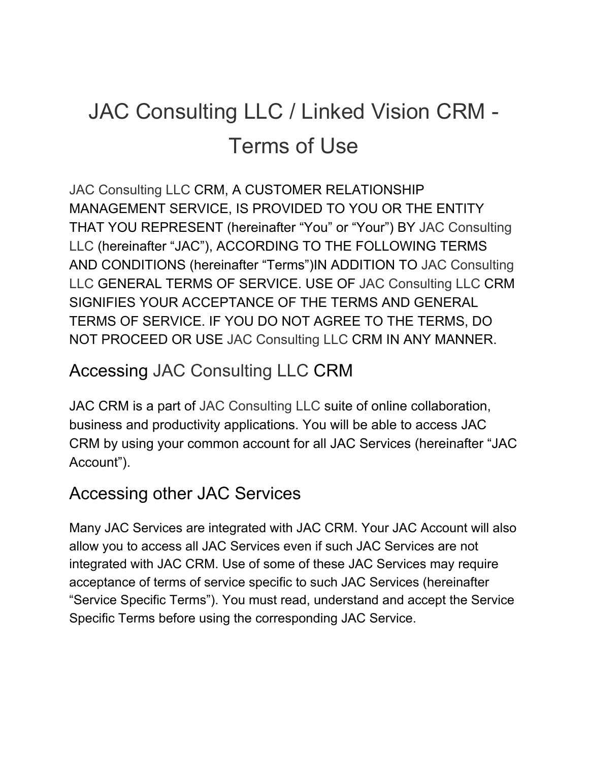# JAC Consulting LLC / Linked Vision CRM - Terms of Use

JAC Consulting LLC CRM, A CUSTOMER RELATIONSHIP MANAGEMENT SERVICE, IS PROVIDED TO YOU OR THE ENTITY THAT YOU REPRESENT (hereinafter "You" or "Your") BY JAC Consulting LLC (hereinafter "JAC"), ACCORDING TO THE FOLLOWING TERMS AND CONDITIONS (hereinafter "Terms")IN ADDITION TO JAC Consulting LLC GENERAL TERMS OF SERVICE. USE OF JAC Consulting LLC CRM SIGNIFIES YOUR ACCEPTANCE OF THE TERMS AND GENERAL TERMS OF SERVICE. IF YOU DO NOT AGREE TO THE TERMS, DO NOT PROCEED OR USE JAC Consulting LLC CRM IN ANY MANNER.

#### Accessing JAC Consulting LLC CRM

JAC CRM is a part of JAC Consulting LLC suite of online collaboration, business and productivity applications. You will be able to access JAC CRM by using your common account for all JAC Services (hereinafter "JAC Account").

#### Accessing other JAC Services

Many JAC Services are integrated with JAC CRM. Your JAC Account will also allow you to access all JAC Services even if such JAC Services are not integrated with JAC CRM. Use of some of these JAC Services may require acceptance of terms of service specific to such JAC Services (hereinafter "Service Specific Terms"). You must read, understand and accept the Service Specific Terms before using the corresponding JAC Service.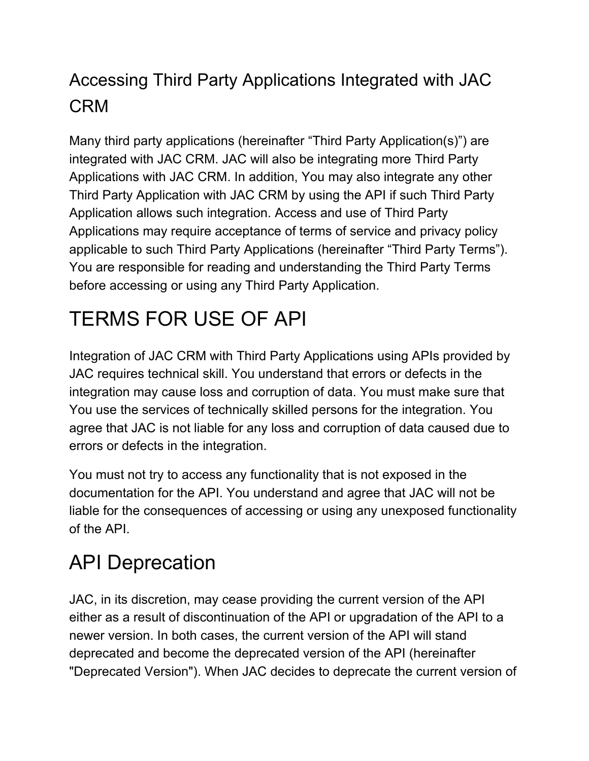### Accessing Third Party Applications Integrated with JAC CRM

Many third party applications (hereinafter "Third Party Application(s)") are integrated with JAC CRM. JAC will also be integrating more Third Party Applications with JAC CRM. In addition, You may also integrate any other Third Party Application with JAC CRM by using the API if such Third Party Application allows such integration. Access and use of Third Party Applications may require acceptance of terms of service and privacy policy applicable to such Third Party Applications (hereinafter "Third Party Terms"). You are responsible for reading and understanding the Third Party Terms before accessing or using any Third Party Application.

# TERMS FOR USE OF API

Integration of JAC CRM with Third Party Applications using APIs provided by JAC requires technical skill. You understand that errors or defects in the integration may cause loss and corruption of data. You must make sure that You use the services of technically skilled persons for the integration. You agree that JAC is not liable for any loss and corruption of data caused due to errors or defects in the integration.

You must not try to access any functionality that is not exposed in the documentation for the API. You understand and agree that JAC will not be liable for the consequences of accessing or using any unexposed functionality of the API.

## API Deprecation

JAC, in its discretion, may cease providing the current version of the API either as a result of discontinuation of the API or upgradation of the API to a newer version. In both cases, the current version of the API will stand deprecated and become the deprecated version of the API (hereinafter "Deprecated Version"). When JAC decides to deprecate the current version of